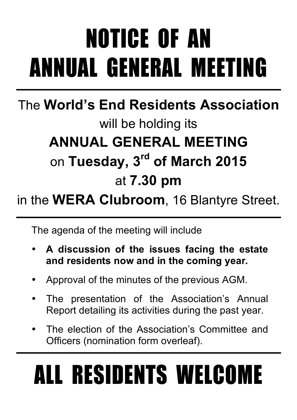# NOTICE OF AN ANNUAL GENERAL MEETING

### The **World's End Residents Association** will be holding its **ANNUAL GENERAL MEETING** on **Tuesday, 3rd of March 2015** at **7.30 pm**

### in the **WERA Clubroom**, 16 Blantyre Street.

The agenda of the meeting will include

- **A discussion of the issues facing the estate and residents now and in the coming year.**
- Approval of the minutes of the previous AGM.
- The presentation of the Association's Annual Report detailing its activities during the past year.
- The election of the Association's Committee and Officers (nomination form overleaf).

# ALL RESIDENTS WELCOME